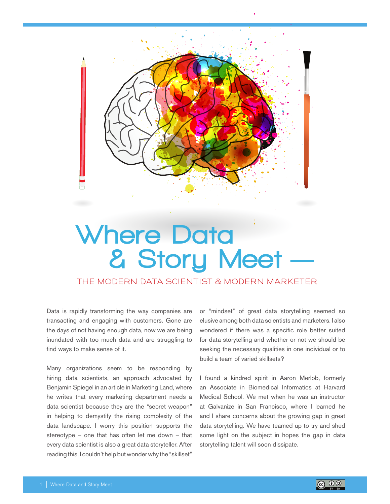

# **Where Data & Story Meet**

The Modern Data Scientist & Modern Marketer

Data is rapidly transforming the way companies are transacting and engaging with customers. Gone are the days of not having enough data, now we are being inundated with too much data and are struggling to find ways to make sense of it.

Many organizations seem to be responding by hiring data scientists, an approach advocated by Benjamin Spiegel in an article in Marketing Land, where he writes that every marketing department needs a data scientist because they are the "secret weapon" in helping to demystify the rising complexity of the data landscape. I worry this position supports the stereotype – one that has often let me down – that every data scientist is also a great data storyteller. After reading this, I couldn't help but wonder why the "skillset"

or "mindset" of great data storytelling seemed so elusive among both data scientists and marketers. I also wondered if there was a specific role better suited for data storytelling and whether or not we should be seeking the necessary qualities in one individual or to build a team of varied skillsets?

I found a kindred spirit in Aaron Merlob, formerly an Associate in Biomedical Informatics at Harvard Medical School. We met when he was an instructor at Galvanize in San Francisco, where I learned he and I share concerns about the growing gap in great data storytelling. We have teamed up to try and shed some light on the subject in hopes the gap in data storytelling talent will soon dissipate.

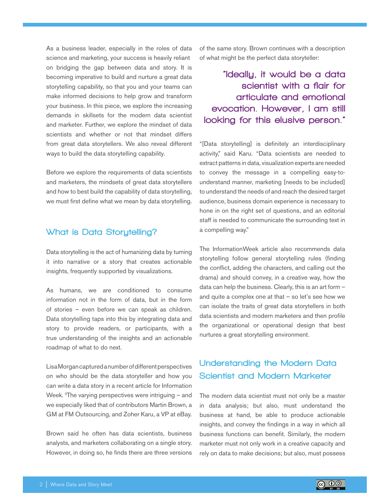As a business leader, especially in the roles of data science and marketing, your success is heavily reliant on bridging the gap between data and story. It is becoming imperative to build and nurture a great data storytelling capability, so that you and your teams can make informed decisions to help grow and transform your business. In this piece, we explore the increasing demands in skillsets for the modern data scientist and marketer. Further, we explore the mindset of data scientists and whether or not that mindset differs from great data storytellers. We also reveal different ways to build the data storytelling capability.

Before we explore the requirements of data scientists and marketers, the mindsets of great data storytellers and how to best build the capability of data storytelling, we must first define what we mean by data storytelling.

## What is Data Storytelling?

Data storytelling is the act of humanizing data by turning it into narrative or a story that creates actionable insights, frequently supported by visualizations.

As humans, we are conditioned to consume information not in the form of data, but in the form of stories – even before we can speak as children. Data storytelling taps into this by integrating data and story to provide readers, or participants, with a true understanding of the insights and an actionable roadmap of what to do next.

Lisa Morgan captured a number of different perspectives on who should be the data storyteller and how you can write a data story in a recent article for Information Week.  $\text{I}$ The varying perspectives were intriguing – and we especially liked that of contributors Martin Brown, a GM at FM Outsourcing, and Zoher Karu, a VP at eBay.

Brown said he often has data scientists, business analysts, and marketers collaborating on a single story. However, in doing so, he finds there are three versions of the same story. Brown continues with a description of what might be the perfect data storyteller:

"Ideally, it would be a data scientist with a flair for articulate and emotional evocation. However, I am still looking for this elusive person."

"[Data storytelling] is definitely an interdisciplinary activity," said Karu. "Data scientists are needed to extract patterns in data, visualization experts are needed to convey the message in a compelling easy-tounderstand manner, marketing [needs to be included] to understand the needs of and reach the desired target audience, business domain experience is necessary to hone in on the right set of questions, and an editorial staff is needed to communicate the surrounding text in a compelling way."

The InformationWeek article also recommends data storytelling follow general storytelling rules (finding the conflict, adding the characters, and calling out the drama) and should convey, in a creative way, how the data can help the business. Clearly, this is an art form – and quite a complex one at that  $-$  so let's see how we can isolate the traits of great data storytellers in both data scientists and modern marketers and then profile the organizational or operational design that best nurtures a great storytelling environment.

# Understanding the Modern Data Scientist and Modern Marketer

The modern data scientist must not only be a master in data analysis; but also, must understand the business at hand, be able to produce actionable insights, and convey the findings in a way in which all business functions can benefit. Similarly, the modern marketer must not only work in a creative capacity and rely on data to make decisions; but also, must possess

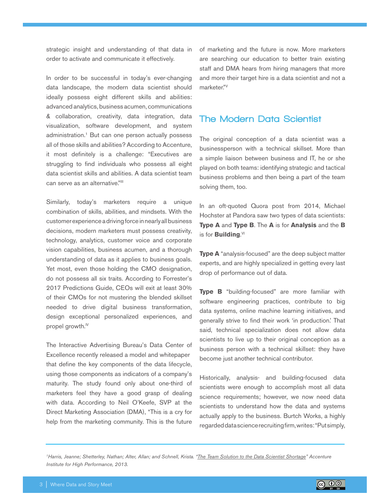strategic insight and understanding of that data in order to activate and communicate it effectively.

In order to be successful in today's ever-changing data landscape, the modern data scientist should ideally possess eight different skills and abilities: advanced analytics, business acumen, communications & collaboration, creativity, data integration, data visualization, software development, and system administration.<sup>1</sup> But can one person actually possess all of those skills and abilities? According to Accenture, it most definitely is a challenge: "Executives are struggling to find individuals who possess all eight data scientist skills and abilities. A data scientist team can serve as an alternative."<sup>III</sup>

Similarly, today's marketers require a unique combination of skills, abilities, and mindsets. With the customer experience a driving force in nearly all business decisions, modern marketers must possess creativity, technology, analytics, customer voice and corporate vision capabilities, business acumen, and a thorough understanding of data as it applies to business goals. Yet most, even those holding the CMO designation, do not possess all six traits. According to Forrester's 2017 Predictions Guide, CEOs will exit at least 30% of their CMOs for not mustering the blended skillset needed to drive digital business transformation, design exceptional personalized experiences, and propel growth.<sup>IV</sup>

The Interactive Advertising Bureau's Data Center of Excellence recently released a model and whitepaper that define the key components of the data lifecycle, using those components as indicators of a company's maturity. The study found only about one-third of marketers feel they have a good grasp of dealing with data. According to Neil O'Keefe, SVP at the Direct Marketing Association (DMA), "This is a cry for help from the marketing community. This is the future of marketing and the future is now. More marketers are searching our education to better train existing staff and DMA hears from hiring managers that more and more their target hire is a data scientist and not a marketer."V

## The Modern Data Scientist

The original conception of a data scientist was a businessperson with a technical skillset. More than a simple liaison between business and IT, he or she played on both teams: identifying strategic and tactical business problems and then being a part of the team solving them, too.

In an oft-quoted Quora post from 2014, Michael Hochster at Pandora saw two types of data scientists: **Type A** and **Type B**. The **A** is for **Analysis** and the **B** is for **Building**.<sup>VI</sup>

**Type A** "analysis-focused" are the deep subject matter experts, and are highly specialized in getting every last drop of performance out of data.

**Type B** "building-focused" are more familiar with software engineering practices, contribute to big data systems, online machine learning initiatives, and generally strive to find their work 'in production.' That said, technical specialization does not allow data scientists to live up to their original conception as a business person with a technical skillset: they have become just another technical contributor.

Historically, analysis- and building-focused data scientists were enough to accomplish most all data science requirements; however, we now need data scientists to understand how the data and systems actually apply to the business. Burtch Works, a highly regarded data science recruiting firm, writes: "Put simply,

*1Harris, Jeanne; Shetterley, Nathan; Alter, Allan; and Schnell, Krista. "The Team Solution to the Data Scientist Shortage" Accenture Institute for High Performance, 2013.*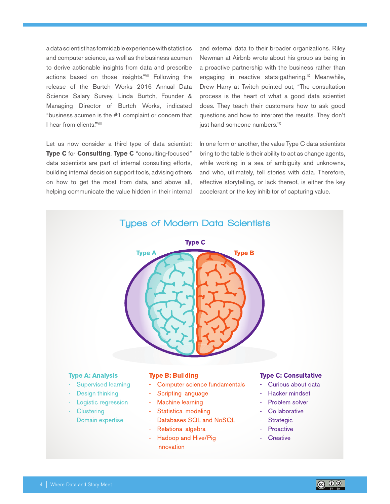a data scientist has formidable experience with statistics and computer science, as well as the business acumen to derive actionable insights from data and prescribe actions based on those insights."VII Following the release of the Burtch Works 2016 Annual Data Science Salary Survey, Linda Burtch, Founder & Managing Director of Burtch Works, indicated "business acumen is the #1 complaint or concern that I hear from clients."VIII

Let us now consider a third type of data scientist: Type C for Consulting. Type C "consulting-focused" data scientists are part of internal consulting efforts, building internal decision support tools, advising others on how to get the most from data, and above all, helping communicate the value hidden in their internal and external data to their broader organizations. Riley Newman at Airbnb wrote about his group as being in a proactive partnership with the business rather than engaging in reactive stats-gathering.<sup>1X</sup> Meanwhile, Drew Harry at Twitch pointed out, "The consultation process is the heart of what a good data scientist does. They teach their customers how to ask good questions and how to interpret the results. They don't just hand someone numbers."X

In one form or another, the value Type C data scientists bring to the table is their ability to act as change agents, while working in a sea of ambiguity and unknowns, and who, ultimately, tell stories with data. Therefore, effective storytelling, or lack thereof, is either the key accelerant or the key inhibitor of capturing value.



- **Supervised learning**  $\omega_{\rm{eff}}$
- Design thinking a.
- Logistic regression
- Clustering
- Domain expertise
- Computer science fundamentals
- **Scripting language**
- Machine learning
- Statistical modeling
- Databases SQL and NoSQL
- Relational algebra
- Hadoop and Hive/Pig  $\mathbf{m} \in \mathbb{R}^n$
- Innovation
- Curious about data
- Hacker mindset
- Problem solver
- Collaborative
- Strategic
- Proactive
- Creative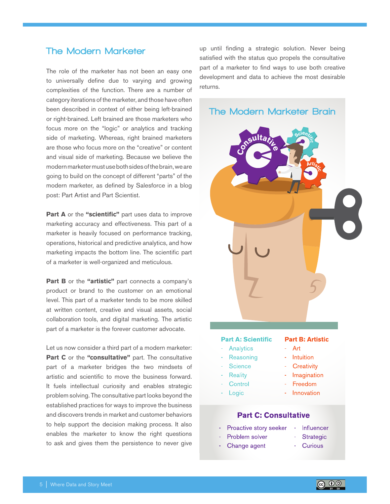# **The Modern Marketer**

The role of the marketer has not been an easy one to universally define due to varying and growing complexities of the function. There are a number of category iterations of the marketer, and those have often been described in context of either being left-brained or right-brained. Left brained are those marketers who focus more on the "logic" or analytics and tracking side of marketing. Whereas, right brained marketers are those who focus more on the "creative" or content and visual side of marketing. Because we believe the modern marketer must use both sides of the brain, we are going to build on the concept of different "parts" of the modern marketer, as defined by Salesforce in a blog post: Part Artist and Part Scientist.

Part A or the "scientific" part uses data to improve marketing accuracy and effectiveness. This part of a marketer is heavily focused on performance tracking, operations, historical and predictive analytics, and how marketing impacts the bottom line. The scientific part of a marketer is well-organized and meticulous.

**Part B** or the "artistic" part connects a company's product or brand to the customer on an emotional level. This part of a marketer tends to be more skilled at written content, creative and visual assets, social collaboration tools, and digital marketing. The artistic part of a marketer is the forever customer advocate.

Let us now consider a third part of a modern marketer: Part C or the "consultative" part. The consultative part of a marketer bridges the two mindsets of artistic and scientific to move the business forward. It fuels intellectual curiosity and enables strategic problem solving. The consultative part looks beyond the established practices for ways to improve the business and discovers trends in market and customer behaviors to help support the decision making process. It also enables the marketer to know the right questions to ask and gives them the persistence to never give up until finding a strategic solution. Never being satisfied with the status quo propels the consultative part of a marketer to find ways to use both creative development and data to achieve the most desirable returns.



#### **Part A: Scientific**

- Analytics Reasoning
- 
- Science
- **Reality**
- Control
- Logic

# **Part B: Artistic**

- Art
- Intuition
- Creativity
- Imagination
- Freedom
- Innovation

#### **Part C: Consultative**

- Proactive story seeker Influencer
- Problem solver
- Change agent
- - **Strategic**
	- Curious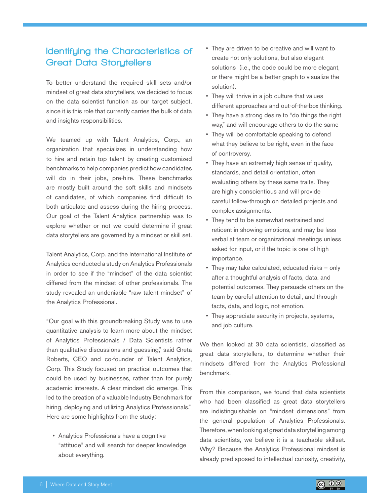# Identifying the Characteristics of Great Data Storytellers

To better understand the required skill sets and/or mindset of great data storytellers, we decided to focus on the data scientist function as our target subject, since it is this role that currently carries the bulk of data and insights responsibilities.

We teamed up with Talent Analytics, Corp., an organization that specializes in understanding how to hire and retain top talent by creating customized benchmarks to help companies predict how candidates will do in their jobs, pre-hire. These benchmarks are mostly built around the soft skills and mindsets of candidates, of which companies find difficult to both articulate and assess during the hiring process. Our goal of the Talent Analytics partnership was to explore whether or not we could determine if great data storytellers are governed by a mindset or skill set.

Talent Analytics, Corp. and the International Institute of Analytics conducted a study on Analytics Professionals in order to see if the "mindset" of the data scientist differed from the mindset of other professionals. The study revealed an undeniable "raw talent mindset" of the Analytics Professional.

"Our goal with this groundbreaking Study was to use quantitative analysis to learn more about the mindset of Analytics Professionals / Data Scientists rather than qualitative discussions and guessing," said Greta Roberts, CEO and co-founder of Talent Analytics, Corp. This Study focused on practical outcomes that could be used by businesses, rather than for purely academic interests. A clear mindset did emerge. This led to the creation of a valuable Industry Benchmark for hiring, deploying and utilizing Analytics Professionals." Here are some highlights from the study:

• Analytics Professionals have a cognitive "attitude" and will search for deeper knowledge about everything.

- They are driven to be creative and will want to create not only solutions, but also elegant solutions (i.e., the code could be more elegant, or there might be a better graph to visualize the solution).
- They will thrive in a job culture that values different approaches and out-of-the-box thinking.
- They have a strong desire to "do things the right way," and will encourage others to do the same
- They will be comfortable speaking to defend what they believe to be right, even in the face of controversy.
- They have an extremely high sense of quality, standards, and detail orientation, often evaluating others by these same traits. They are highly conscientious and will provide careful follow-through on detailed projects and complex assignments.
- They tend to be somewhat restrained and reticent in showing emotions, and may be less verbal at team or organizational meetings unless asked for input, or if the topic is one of high importance.
- They may take calculated, educated risks only after a thoughtful analysis of facts, data, and potential outcomes. They persuade others on the team by careful attention to detail, and through facts, data, and logic, not emotion.
- They appreciate security in projects, systems, and job culture.

We then looked at 30 data scientists, classified as great data storytellers, to determine whether their mindsets differed from the Analytics Professional benchmark.

From this comparison, we found that data scientists who had been classified as great data storytellers are indistinguishable on "mindset dimensions" from the general population of Analytics Professionals. Therefore, when looking at great data storytelling among data scientists, we believe it is a teachable skillset. Why? Because the Analytics Professional mindset is already predisposed to intellectual curiosity, creativity,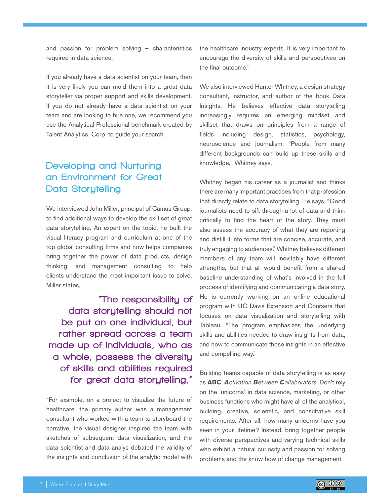and passion for problem solving – characteristics required in data science.

If you already have a data scientist on your team, then it is very likely you can mold them into a great data storyteller via proper support and skills development. If you do not already have a data scientist on your team and are looking to hire one, we recommend you use the Analytical Professional benchmark created by Talent Analytics, Corp. to guide your search.

# Developing and Nurturing an Environment for Great Data Storytelling

We interviewed John Miller, principal of Camus Group, to find additional ways to develop the skill set of great data storytelling. An expert on the topic, he built the visual literacy program and curriculum at one of the top global consulting firms and now helps companies bring together the power of data products, design thinking, and management consulting to help clients understand the most important issue to solve, Miller states,

"The responsibility of data storytelling should not be put on one individual, but rather spread across a team made up of individuals, who as a whole, possess the diversity of skills and abilities required for great data storytelling,"

"For example, on a project to visualize the future of healthcare, the primary author was a management consultant who worked with a team to storyboard the narrative, the visual designer inspired the team with sketches of subsequent data visualization, and the data scientist and data analys debated the validity of the insights and conclusion of the analytic model with

the healthcare industry experts. It is very important to encourage the diversity of skills and perspectives on the final outcome."

We also interviewed Hunter Whitney, a design strategy consultant, instructor, and author of the book Data Insights. He believes effective data storytelling increasingly requires an emerging mindset and skillset that draws on principles from a range of fields including design, statistics, psychology, neuroscience and journalism. "People from many different backgrounds can build up these skills and knowledge," Whitney says.

Whitney began his career as a journalist and thinks there are many important practices from that profession that directly relate to data storytelling. He says, "Good journalists need to sift through a lot of data and think critically to find the heart of the story. They must also assess the accuracy of what they are reporting and distill it into forms that are concise, accurate, and truly engaging to audiences." Whitney believes different members of any team will inevitably have different strengths, but that all would benefit from a shared baseline understanding of what's involved in the full process of identifying and communicating a data story. He is currently working on an online educational program with UC Davis Extension and Coursera that focuses on data visualization and storytelling with Tableau. "The program emphasizes the underlying skills and abilities needed to draw insights from data, and how to communicate those insights in an effective and compelling way."

Building teams capable of data storytelling is as easy as **ABC**: *Activation Between Collaborators*. Don't rely on the 'unicorns' in data science, marketing, or other business functions who might have all of the analytical, building, creative, scientific, and consultative skill requirements. After all, how many unicorns have you seen in your lifetime? Instead, bring together people with diverse perspectives and varying technical skills who exhibit a natural curiosity and passion for solving problems and the know-how of change management.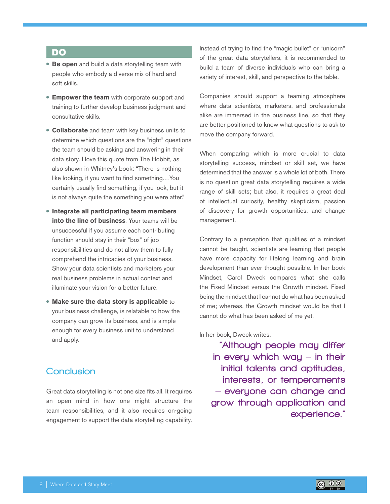#### DO

- **Be open** and build a data storytelling team with people who embody a diverse mix of hard and soft skills.
- **Empower the team** with corporate support and training to further develop business judgment and consultative skills.
- **Collaborate** and team with key business units to determine which questions are the "right" questions the team should be asking and answering in their data story. I love this quote from The Hobbit, as also shown in Whitney's book: "There is nothing like looking, if you want to find something…You certainly usually find something, if you look, but it is not always quite the something you were after."
- **Integrate all participating team members into the line of business**. Your teams will be unsuccessful if you assume each contributing function should stay in their "box" of job responsibilities and do not allow them to fully comprehend the intricacies of your business. Show your data scientists and marketers your real business problems in actual context and illuminate your vision for a better future.
- **Make sure the data story is applicable** to your business challenge, is relatable to how the company can grow its business, and is simple enough for every business unit to understand and apply.

## **Conclusion**

Great data storytelling is not one size fits all. It requires an open mind in how one might structure the team responsibilities, and it also requires on-going engagement to support the data storytelling capability. Instead of trying to find the "magic bullet" or "unicorn" of the great data storytellers, it is recommended to build a team of diverse individuals who can bring a variety of interest, skill, and perspective to the table.

Companies should support a teaming atmosphere where data scientists, marketers, and professionals alike are immersed in the business line, so that they are better positioned to know what questions to ask to move the company forward.

When comparing which is more crucial to data storytelling success, mindset or skill set, we have determined that the answer is a whole lot of both. There is no question great data storytelling requires a wide range of skill sets; but also, it requires a great deal of intellectual curiosity, healthy skepticism, passion of discovery for growth opportunities, and change management.

Contrary to a perception that qualities of a mindset cannot be taught, scientists are learning that people have more capacity for lifelong learning and brain development than ever thought possible. In her book Mindset, Carol Dweck compares what she calls the Fixed Mindset versus the Growth mindset. Fixed being the mindset that I cannot do what has been asked of me; whereas, the Growth mindset would be that I cannot do what has been asked of me yet.

In her book, Dweck writes,

"Although people may differ in every which way  $-$  in their initial talents and aptitudes, interests, or temperaments – everyone can change and grow through application and experience."